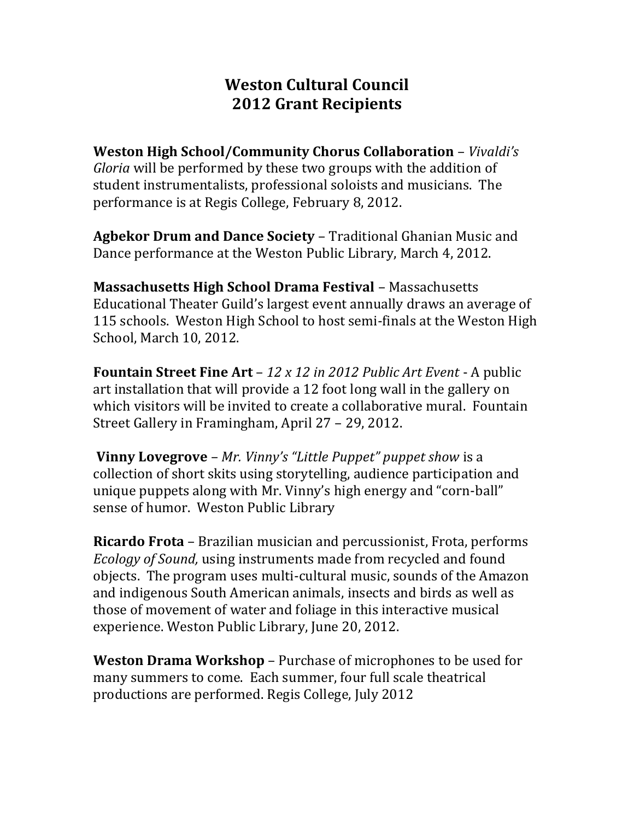## **Weston Cultural Council 2012 Grant Recipients**

**Weston High School/Community Chorus Collaboration** – *Vivaldi's Gloria* will be performed by these two groups with the addition of student instrumentalists, professional soloists and musicians. The performance is at Regis College, February 8, 2012.

**Agbekor Drum and Dance Society** – Traditional Ghanian Music and Dance performance at the Weston Public Library, March 4, 2012.

**Massachusetts High School Drama Festival** – Massachusetts Educational Theater Guild's largest event annually draws an average of 115 schools. Weston High School to host semi-finals at the Weston High School, March 10, 2012.

**Fountain Street Fine Art** – *12 x 12 in 2012 Public Art Event* - A public art installation that will provide a 12 foot long wall in the gallery on which visitors will be invited to create a collaborative mural. Fountain Street Gallery in Framingham, April 27 – 29, 2012.

**Vinny Lovegrove** – *Mr. Vinny's "Little Puppet" puppet show* is a collection of short skits using storytelling, audience participation and unique puppets along with Mr. Vinny's high energy and "corn-ball" sense of humor. Weston Public Library

**Ricardo Frota** – Brazilian musician and percussionist, Frota, performs *Ecology of Sound,* using instruments made from recycled and found objects. The program uses multi-cultural music, sounds of the Amazon and indigenous South American animals, insects and birds as well as those of movement of water and foliage in this interactive musical experience. Weston Public Library, June 20, 2012.

**Weston Drama Workshop** – Purchase of microphones to be used for many summers to come. Each summer, four full scale theatrical productions are performed. Regis College, July 2012